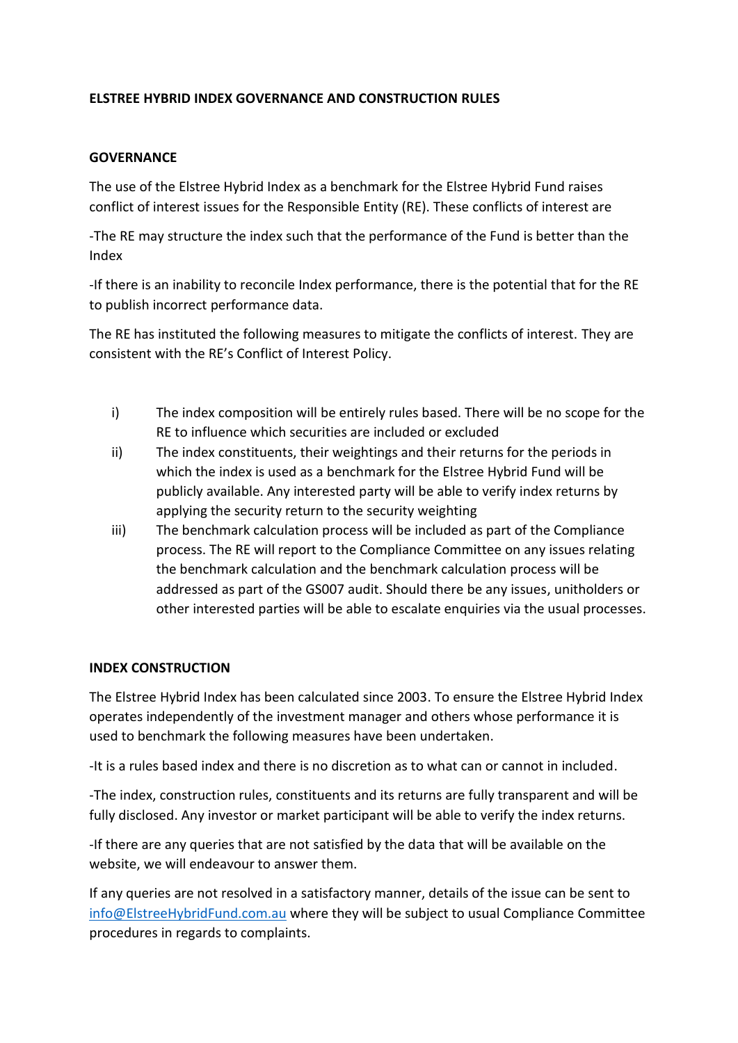# **ELSTREE HYBRID INDEX GOVERNANCE AND CONSTRUCTION RULES**

## **GOVERNANCE**

The use of the Elstree Hybrid Index as a benchmark for the Elstree Hybrid Fund raises conflict of interest issues for the Responsible Entity (RE). These conflicts of interest are

-The RE may structure the index such that the performance of the Fund is better than the Index

-If there is an inability to reconcile Index performance, there is the potential that for the RE to publish incorrect performance data.

The RE has instituted the following measures to mitigate the conflicts of interest. They are consistent with the RE's Conflict of Interest Policy.

- i) The index composition will be entirely rules based. There will be no scope for the RE to influence which securities are included or excluded
- ii) The index constituents, their weightings and their returns for the periods in which the index is used as a benchmark for the Elstree Hybrid Fund will be publicly available. Any interested party will be able to verify index returns by applying the security return to the security weighting
- iii) The benchmark calculation process will be included as part of the Compliance process. The RE will report to the Compliance Committee on any issues relating the benchmark calculation and the benchmark calculation process will be addressed as part of the GS007 audit. Should there be any issues, unitholders or other interested parties will be able to escalate enquiries via the usual processes.

## **INDEX CONSTRUCTION**

The Elstree Hybrid Index has been calculated since 2003. To ensure the Elstree Hybrid Index operates independently of the investment manager and others whose performance it is used to benchmark the following measures have been undertaken.

-It is a rules based index and there is no discretion as to what can or cannot in included.

-The index, construction rules, constituents and its returns are fully transparent and will be fully disclosed. Any investor or market participant will be able to verify the index returns.

-If there are any queries that are not satisfied by the data that will be available on the website, we will endeavour to answer them.

If any queries are not resolved in a satisfactory manner, details of the issue can be sent to [info@ElstreeHybridFund.com.au](mailto:info@ElstreeHybridFund.com.au) where they will be subject to usual Compliance Committee procedures in regards to complaints.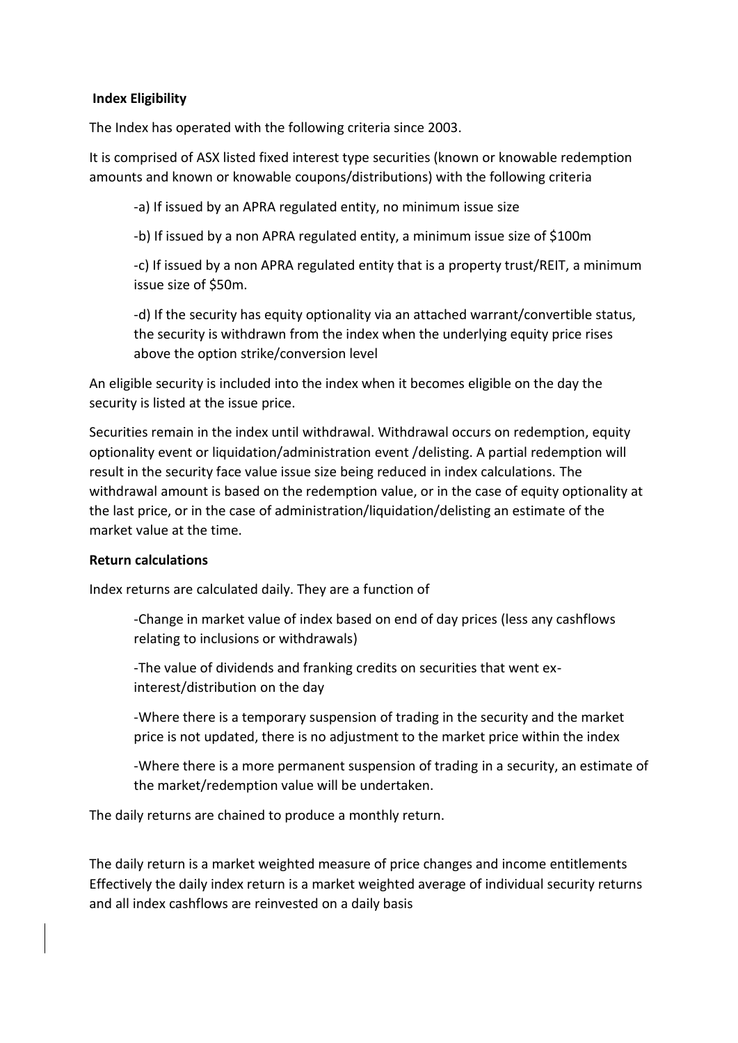## **Index Eligibility**

The Index has operated with the following criteria since 2003.

It is comprised of ASX listed fixed interest type securities (known or knowable redemption amounts and known or knowable coupons/distributions) with the following criteria

-a) If issued by an APRA regulated entity, no minimum issue size

-b) If issued by a non APRA regulated entity, a minimum issue size of \$100m

-c) If issued by a non APRA regulated entity that is a property trust/REIT, a minimum issue size of \$50m.

-d) If the security has equity optionality via an attached warrant/convertible status, the security is withdrawn from the index when the underlying equity price rises above the option strike/conversion level

An eligible security is included into the index when it becomes eligible on the day the security is listed at the issue price.

Securities remain in the index until withdrawal. Withdrawal occurs on redemption, equity optionality event or liquidation/administration event /delisting. A partial redemption will result in the security face value issue size being reduced in index calculations. The withdrawal amount is based on the redemption value, or in the case of equity optionality at the last price, or in the case of administration/liquidation/delisting an estimate of the market value at the time.

## **Return calculations**

Index returns are calculated daily. They are a function of

-Change in market value of index based on end of day prices (less any cashflows relating to inclusions or withdrawals)

-The value of dividends and franking credits on securities that went exinterest/distribution on the day

-Where there is a temporary suspension of trading in the security and the market price is not updated, there is no adjustment to the market price within the index

-Where there is a more permanent suspension of trading in a security, an estimate of the market/redemption value will be undertaken.

The daily returns are chained to produce a monthly return.

The daily return is a market weighted measure of price changes and income entitlements Effectively the daily index return is a market weighted average of individual security returns and all index cashflows are reinvested on a daily basis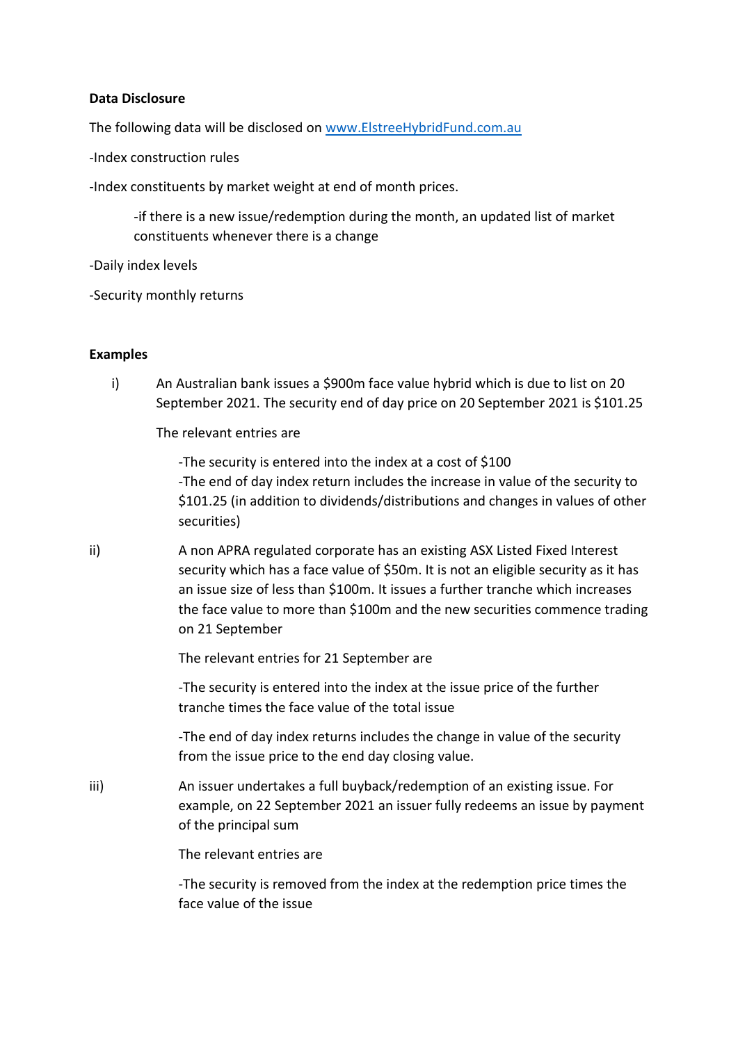## **Data Disclosure**

The following data will be disclosed on [www.ElstreeHybridFund.com.au](http://www.elstreehybridfund.com.au/)

-Index construction rules

-Index constituents by market weight at end of month prices.

-if there is a new issue/redemption during the month, an updated list of market constituents whenever there is a change

-Daily index levels

-Security monthly returns

#### **Examples**

i) An Australian bank issues a \$900m face value hybrid which is due to list on 20 September 2021. The security end of day price on 20 September 2021 is \$101.25

The relevant entries are

-The security is entered into the index at a cost of \$100 -The end of day index return includes the increase in value of the security to \$101.25 (in addition to dividends/distributions and changes in values of other securities)

ii) A non APRA regulated corporate has an existing ASX Listed Fixed Interest security which has a face value of \$50m. It is not an eligible security as it has an issue size of less than \$100m. It issues a further tranche which increases the face value to more than \$100m and the new securities commence trading on 21 September

The relevant entries for 21 September are

-The security is entered into the index at the issue price of the further tranche times the face value of the total issue

-The end of day index returns includes the change in value of the security from the issue price to the end day closing value.

iii) An issuer undertakes a full buyback/redemption of an existing issue. For example, on 22 September 2021 an issuer fully redeems an issue by payment of the principal sum

The relevant entries are

-The security is removed from the index at the redemption price times the face value of the issue